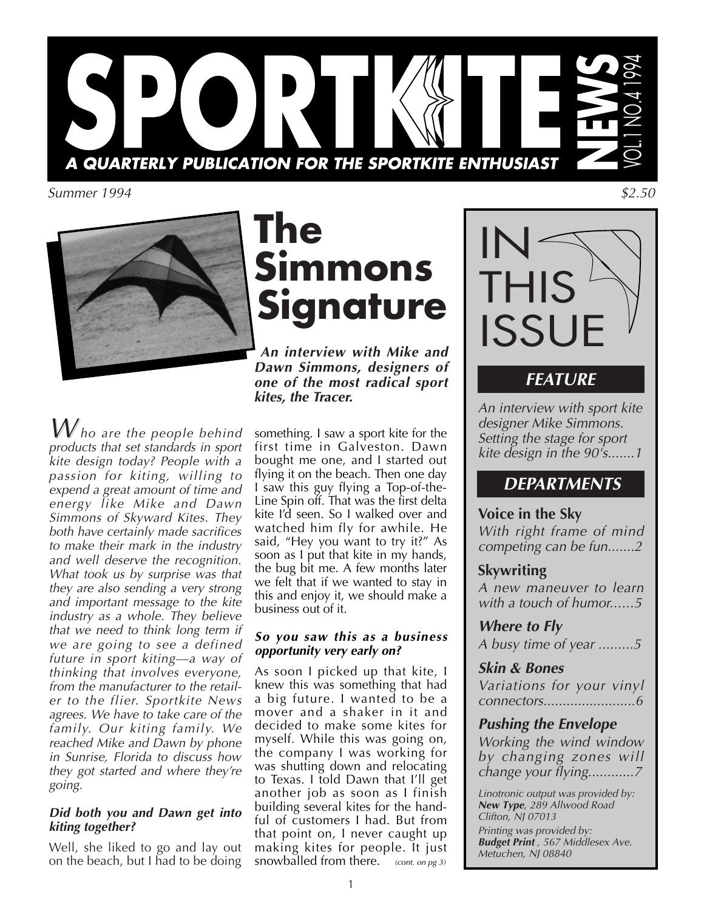

Summer 1994



**The Simmons Signature**

*An interview with Mike and Dawn Simmons, designers of one of the most radical sport kites, the Tracer.*

 $\overline{\mathcal{W}}$  ho are the people behind products that set standards in sport kite design today? People with a passion for kiting, willing to expend a great amount of time and energy like Mike and Dawn Simmons of Skyward Kites. They both have certainly made sacrifices to make their mark in the industry and well deserve the recognition. What took us by surprise was that they are also sending a very strong and important message to the kite industry as a whole. They believe that we need to think long term if we are going to see a defined future in sport kiting—a way of thinking that involves everyone, from the manufacturer to the retailer to the flier. Sportkite News agrees. We have to take care of the family. Our kiting family. We reached Mike and Dawn by phone in Sunrise, Florida to discuss how they got started and where they're going.

### *Did both you and Dawn get into kiting together?*

Well, she liked to go and lay out on the beach, but I had to be doing something. I saw a sport kite for the first time in Galveston. Dawn bought me one, and I started out flying it on the beach. Then one day I saw this guy flying a Top-of-the-Line Spin off. That was the first delta kite I'd seen. So I walked over and watched him fly for awhile. He said, "Hey you want to try it?" As soon as I put that kite in my hands, the bug bit me. A few months later we felt that if we wanted to stay in this and enjoy it, we should make a business out of it.

## *So you saw this as a business opportunity very early on?*

As soon I picked up that kite, I knew this was something that had a big future. I wanted to be a mover and a shaker in it and decided to make some kites for myself. While this was going on, the company I was working for was shutting down and relocating to Texas. I told Dawn that I'll get another job as soon as I finish building several kites for the handful of customers I had. But from that point on, I never caught up making kites for people. It just snowballed from there.  $(\text{cont. on pg 3})$ 



\$2.50

# *FEATURE*

An interview with sport kite designer Mike Simmons. Setting the stage for sport kite design in the 90's.......1

# *DEPARTMENTS*

## *Voice in the Sky*

With right frame of mind competing can be fun.......2

## *Skywriting*

A new maneuver to learn with a touch of humor......5

*Where to Fly* A busy time of year .........5

## *Skin & Bones*

Variations for your vinyl connectors........................6

## *Pushing the Envelope*

Working the wind window by changing zones will change your flying............7

Linotronic output was provided by: *New Type*, 289 Allwood Road Clifton, NJ 07013 Printing was provided by: *Budget Print* , 567 Middlesex Ave. Metuchen, NJ 08840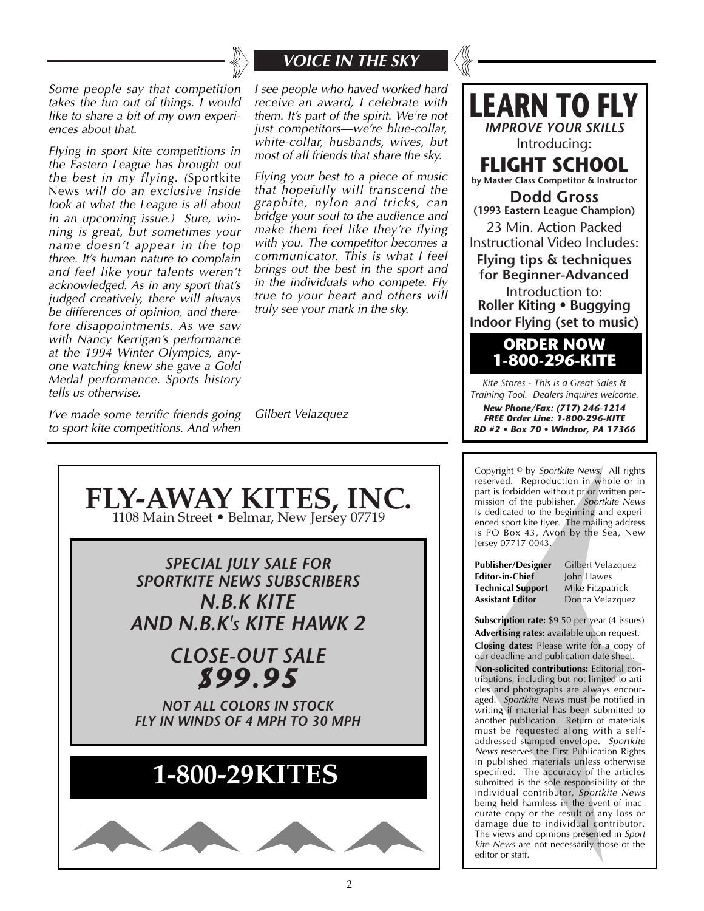

# *VOICE IN THE SKY*

Some people say that competition takes the fun out of things. I would like to share a bit of my own experiences about that.

Flying in sport kite competitions in the Eastern League has brought out the best in my flying. (Sportkite News will do an exclusive inside look at what the League is all about in an upcoming issue.) Sure, winning is great, but sometimes your name doesn't appear in the top three. It's human nature to complain and feel like your talents weren't acknowledged. As in any sport that's judged creatively, there will always be differences of opinion, and therefore disappointments. As we saw with Nancy Kerrigan's performance at the 1994 Winter Olympics, anyone watching knew she gave a Gold Medal performance. Sports history tells us otherwise.

I've made some terrific friends going to sport kite competitions. And when

I see people who haved worked hard receive an award, I celebrate with them. It's part of the spirit. We're not just competitors—we're blue-collar, white-collar, husbands, wives, but most of all friends that share the sky.

Flying your best to a piece of music that hopefully will transcend the graphite, nylon and tricks, can bridge your soul to the audience and make them feel like they're flying with you. The competitor becomes a communicator. This is what I feel brings out the best in the sport and in the individuals who compete. Fly true to your heart and others will truly see your mark in the sky.

Gilbert Velazquez





Copyright © by Sportkite News. All rights reserved. Reproduction in whole or in part is forbidden without prior written permission of the publisher. Sportkite News is dedicated to the beginning and experienced sport kite flyer. The mailing address is PO Box 43, Avon by the Sea, New Jersey 07717-0043.

**Publisher/Designer** Gilbert Velazquez<br>**Editor-in-Chief** John Hawes **Editor-in-Chief** John Hawes<br>**Technical Support** Mike Fitzpatrick **Technical Support**<br>**Assistant Editor** 

*Assistant Editor* Donna Velazquez

**Subscription rate:** \$9.50 per year (4 issues) *Advertising rates:* available upon request. *Closing dates:* Please write for a copy of our deadline and publication date sheet.

*Non-solicited contributions:* Editorial contributions, including but not limited to articles and photographs are always encouraged. Sportkite News must be notified in writing if material has been submitted to another publication. Return of materials must be requested along with a selfaddressed stamped envelope. Sportkite News reserves the First Publication Rights in published materials unless otherwise specified. The accuracy of the articles submitted is the sole responsibility of the individual contributor, Sportkite News being held harmless in the event of inaccurate copy or the result of any loss or damage due to individual contributor. The views and opinions presented in Sport kite News are not necessarily those of the editor or staff.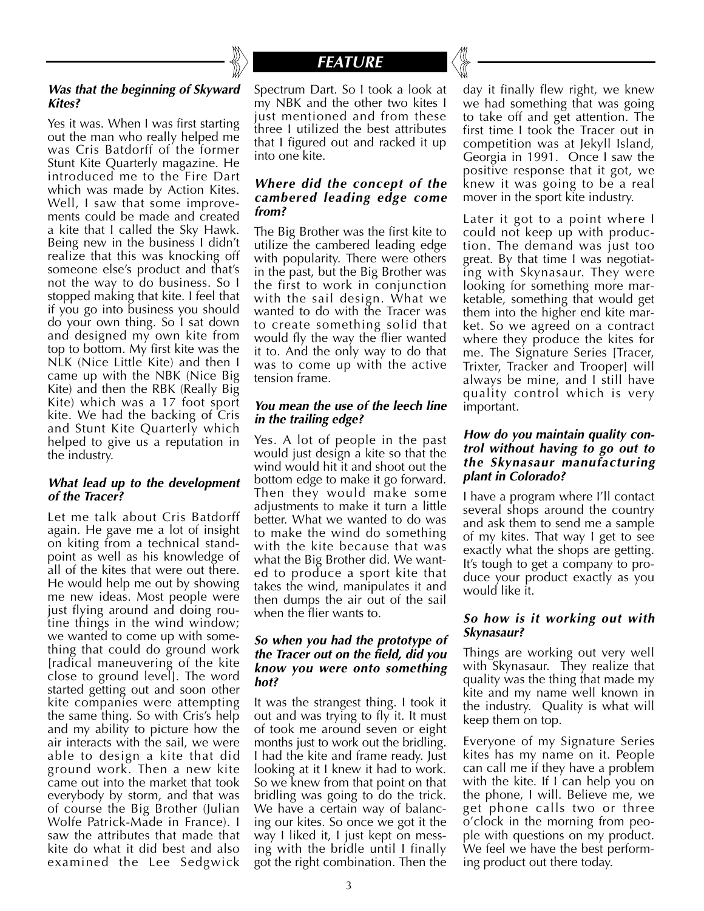

# *FEATURE*

#### *Was that the beginning of Skyward Kites?*

Yes it was. When I was first starting out the man who really helped me was Cris Batdorff of the former Stunt Kite Quarterly magazine. He introduced me to the Fire Dart which was made by Action Kites. Well, I saw that some improvements could be made and created a kite that I called the Sky Hawk. Being new in the business I didn't realize that this was knocking off someone else's product and that's not the way to do business. So I stopped making that kite. I feel that if you go into business you should do your own thing. So I sat down and designed my own kite from top to bottom. My first kite was the NLK (Nice Little Kite) and then I came up with the NBK (Nice Big Kite) and then the RBK (Really Big Kite) which was a 17 foot sport kite. We had the backing of Cris and Stunt Kite Quarterly which helped to give us a reputation in the industry.

#### *What lead up to the development of the Tracer?*

Let me talk about Cris Batdorff again. He gave me a lot of insight on kiting from a technical standpoint as well as his knowledge of all of the kites that were out there. He would help me out by showing me new ideas. Most people were just flying around and doing routine things in the wind window; we wanted to come up with something that could do ground work [radical maneuvering of the kite close to ground level]. The word started getting out and soon other kite companies were attempting the same thing. So with Cris's help and my ability to picture how the air interacts with the sail, we were able to design a kite that did ground work. Then a new kite came out into the market that took everybody by storm, and that was of course the Big Brother (Julian Wolfe Patrick-Made in France). I saw the attributes that made that kite do what it did best and also examined the Lee Sedgwick Spectrum Dart. So I took a look at my NBK and the other two kites I just mentioned and from these three I utilized the best attributes that I figured out and racked it up into one kite.

#### *Where did the concept of the cambered leading edge come from?*

The Big Brother was the first kite to utilize the cambered leading edge with popularity. There were others in the past, but the Big Brother was the first to work in conjunction with the sail design. What we wanted to do with the Tracer was to create something solid that would fly the way the flier wanted it to. And the only way to do that was to come up with the active tension frame.

### *You mean the use of the leech line in the trailing edge?*

Yes. A lot of people in the past would just design a kite so that the wind would hit it and shoot out the bottom edge to make it go forward. Then they would make some adjustments to make it turn a little better. What we wanted to do was to make the wind do something with the kite because that was what the Big Brother did. We wanted to produce a sport kite that takes the wind, manipulates it and then dumps the air out of the sail when the flier wants to.

#### *So when you had the prototype of the Tracer out on the field, did you know you were onto something hot?*

It was the strangest thing. I took it out and was trying to fly it. It must of took me around seven or eight months just to work out the bridling. I had the kite and frame ready. Just looking at it I knew it had to work. So we knew from that point on that bridling was going to do the trick. We have a certain way of balancing our kites. So once we got it the way I liked it, I just kept on messing with the bridle until I finally got the right combination. Then the

day it finally flew right, we knew we had something that was going to take off and get attention. The first time I took the Tracer out in competition was at Jekyll Island, Georgia in 1991. Once I saw the positive response that it got, we knew it was going to be a real mover in the sport kite industry.

Later it got to a point where I could not keep up with production. The demand was just too great. By that time I was negotiating with Skynasaur. They were looking for something more marketable, something that would get them into the higher end kite market. So we agreed on a contract where they produce the kites for me. The Signature Series [Tracer, Trixter, Tracker and Trooper] will always be mine, and I still have quality control which is very important.

### *How do you maintain quality control without having to go out to the Skynasaur manufacturing plant in Colorado?*

I have a program where I'll contact several shops around the country and ask them to send me a sample of my kites. That way I get to see exactly what the shops are getting. It's tough to get a company to produce your product exactly as you would like it.

### *So how is it working out with Skynasaur?*

Things are working out very well with Skynasaur. They realize that quality was the thing that made my kite and my name well known in the industry. Quality is what will keep them on top.

Everyone of my Signature Series kites has my name on it. People can call me if they have a problem with the kite. If I can help you on the phone, I will. Believe me, we get phone calls two or three o'clock in the morning from people with questions on my product. We feel we have the best performing product out there today.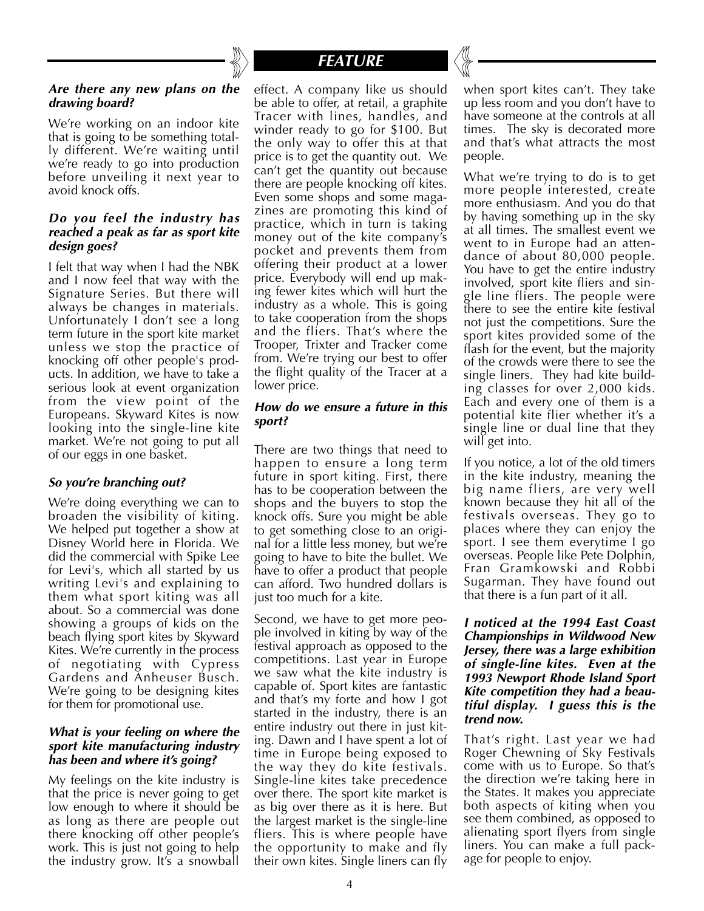#### *Are there any new plans on the drawing board?*

We're working on an indoor kite that is going to be something totally different. We're waiting until we're ready to go into production before unveiling it next year to avoid knock offs.

#### *Do you feel the industry has reached a peak as far as sport kite design goes?*

I felt that way when I had the NBK and I now feel that way with the Signature Series. But there will always be changes in materials. Unfortunately I don't see a long term future in the sport kite market unless we stop the practice of knocking off other people's products. In addition, we have to take a serious look at event organization from the view point of the Europeans. Skyward Kites is now looking into the single-line kite market. We're not going to put all of our eggs in one basket.

### *So you're branching out?*

We're doing everything we can to broaden the visibility of kiting. We helped put together a show at Disney World here in Florida. We did the commercial with Spike Lee for Levi's, which all started by us writing Levi's and explaining to them what sport kiting was all about. So a commercial was done showing a groups of kids on the beach flying sport kites by Skyward Kites. We're currently in the process of negotiating with Cypress Gardens and Anheuser Busch. We're going to be designing kites for them for promotional use.

#### *What is your feeling on where the sport kite manufacturing industry has been and where it's going?*

My feelings on the kite industry is that the price is never going to get low enough to where it should be as long as there are people out there knocking off other people's work. This is just not going to help the industry grow. It's a snowball



effect. A company like us should be able to offer, at retail, a graphite Tracer with lines, handles, and winder ready to go for \$100. But the only way to offer this at that price is to get the quantity out. We can't get the quantity out because there are people knocking off kites. Even some shops and some magazines are promoting this kind of practice, which in turn is taking money out of the kite company's pocket and prevents them from offering their product at a lower price. Everybody will end up making fewer kites which will hurt the industry as a whole. This is going to take cooperation from the shops and the fliers. That's where the Trooper, Trixter and Tracker come from. We're trying our best to offer the flight quality of the Tracer at a lower price.

### *How do we ensure a future in this sport?*

There are two things that need to happen to ensure a long term future in sport kiting. First, there has to be cooperation between the shops and the buyers to stop the knock offs. Sure you might be able to get something close to an original for a little less money, but we're going to have to bite the bullet. We have to offer a product that people can afford. Two hundred dollars is just too much for a kite.

Second, we have to get more people involved in kiting by way of the festival approach as opposed to the competitions. Last year in Europe we saw what the kite industry is capable of. Sport kites are fantastic and that's my forte and how I got started in the industry, there is an entire industry out there in just kiting. Dawn and I have spent a lot of time in Europe being exposed to the way they do kite festivals. Single-line kites take precedence over there. The sport kite market is as big over there as it is here. But the largest market is the single-line fliers. This is where people have the opportunity to make and fly their own kites. Single liners can fly when sport kites can't. They take up less room and you don't have to have someone at the controls at all times. The sky is decorated more and that's what attracts the most people.

What we're trying to do is to get more people interested, create more enthusiasm. And you do that by having something up in the sky at all times. The smallest event we went to in Europe had an attendance of about 80,000 people. You have to get the entire industry involved, sport kite fliers and single line fliers. The people were there to see the entire kite festival not just the competitions. Sure the sport kites provided some of the flash for the event, but the majority of the crowds were there to see the single liners. They had kite building classes for over 2,000 kids. Each and every one of them is a potential kite flier whether it's a single line or dual line that they will get into.

If you notice, a lot of the old timers in the kite industry, meaning the big name fliers, are very well known because they hit all of the festivals overseas. They go to places where they can enjoy the sport. I see them everytime I go overseas. People like Pete Dolphin, Fran Gramkowski and Robbi Sugarman. They have found out that there is a fun part of it all.

#### *I noticed at the 1994 East Coast Championships in Wildwood New Jersey, there was a large exhibition of single-line kites. Even at the 1993 Newport Rhode Island Sport Kite competition they had a beautiful display. I guess this is the trend now.*

That's right. Last year we had Roger Chewning of Sky Festivals come with us to Europe. So that's the direction we're taking here in the States. It makes you appreciate both aspects of kiting when you see them combined, as opposed to alienating sport flyers from single liners. You can make a full package for people to enjoy.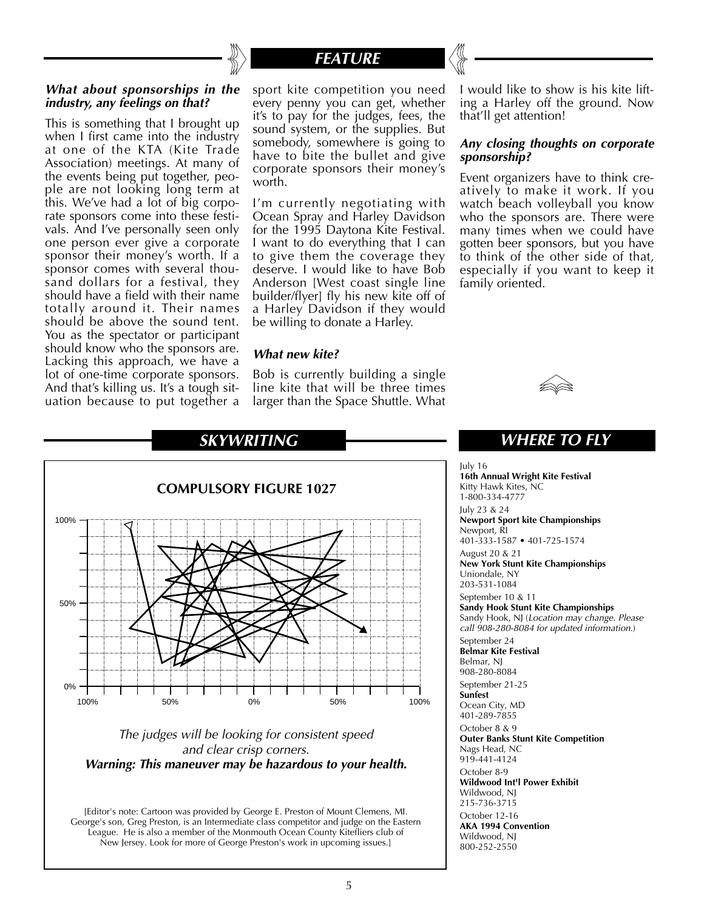

# *FEATURE*

#### *What about sponsorships in the industry, any feelings on that?*

This is something that I brought up when I first came into the industry at one of the KTA (Kite Trade Association) meetings. At many of the events being put together, people are not looking long term at this. We've had a lot of big corporate sponsors come into these festivals. And I've personally seen only one person ever give a corporate sponsor their money's worth. If a sponsor comes with several thousand dollars for a festival, they should have a field with their name totally around it. Their names should be above the sound tent. You as the spectator or participant should know who the sponsors are. Lacking this approach, we have a lot of one-time corporate sponsors. And that's killing us. It's a tough situation because to put together a

sport kite competition you need every penny you can get, whether it's to pay for the judges, fees, the sound system, or the supplies. But somebody, somewhere is going to have to bite the bullet and give corporate sponsors their money's worth.

I'm currently negotiating with Ocean Spray and Harley Davidson for the 1995 Daytona Kite Festival. I want to do everything that I can to give them the coverage they deserve. I would like to have Bob Anderson [West coast single line builder/flyer] fly his new kite off of a Harley Davidson if they would be willing to donate a Harley.

#### *What new kite?*

Bob is currently building a single line kite that will be three times larger than the Space Shuttle. What

I would like to show is his kite lifting a Harley off the ground. Now that'll get attention!

#### *Any closing thoughts on corporate sponsorship?*

Event organizers have to think creatively to make it work. If you watch beach volleyball you know who the sponsors are. There were many times when we could have gotten beer sponsors, but you have to think of the other side of that, especially if you want to keep it family oriented.





#### The judges will be looking for consistent speed and clear crisp corners. *Warning: This maneuver may be hazardous to your health.*

[Editor's note: Cartoon was provided by George E. Preston of Mount Clemens, MI. George's son, Greg Preston, is an Intermediate class competitor and judge on the Eastern League. He is also a member of the Monmouth Ocean County Kitefliers club of New Jersey. Look for more of George Preston's work in upcoming issues.]

*WHERE TO FLY*

July 16 *16th Annual Wright Kite Festival* Kitty Hawk Kites, NC 1-800-334-4777 July 23 & 24 *Newport Sport kite Championships* Newport, RI 401-333-1587 • 401-725-1574 August 20 & 21 *New York Stunt Kite Championships* Uniondale, NY 203-531-1084 September 10 & 11 *Sandy Hook Stunt Kite Championships* Sandy Hook, NJ (Location may change. Please call 908-280-8084 for updated information.) September 24 *Belmar Kite Festival* Belmar, NJ 908-280-8084 September 21-25 *Sunfest* Ocean City, MD 401-289-7855 October 8 & 9 *Outer Banks Stunt Kite Competition* Nags Head, NC 919-441-4124 October 8-9 *Wildwood Int'l Power Exhibit* Wildwood, NJ 215-736-3715 October 12-16 *AKA 1994 Convention* Wildwood, NJ 800-252-2550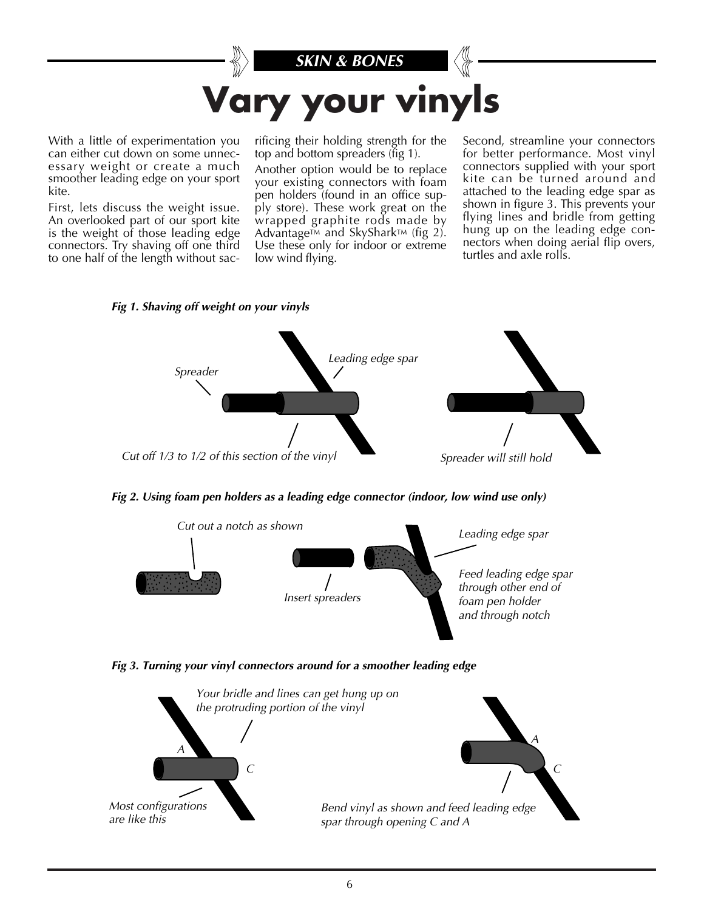

With a little of experimentation you can either cut down on some unnecessary weight or create a much smoother leading edge on your sport kite.

First, lets discuss the weight issue. An overlooked part of our sport kite is the weight of those leading edge connectors. Try shaving off one third to one half of the length without sac-

rificing their holding strength for the top and bottom spreaders (fig 1).

Another option would be to replace your existing connectors with foam pen holders (found in an office supply store). These work great on the wrapped graphite rods made by Advantage $TM$  and SkyShark $TM$  (fig 2). Use these only for indoor or extreme low wind flying.

Second, streamline your connectors for better performance. Most vinyl connectors supplied with your sport kite can be turned around and attached to the leading edge spar as shown in figure 3. This prevents your flying lines and bridle from getting hung up on the leading edge connectors when doing aerial flip overs, turtles and axle rolls.





*Fig 2. Using foam pen holders as a leading edge connector (indoor, low wind use only)*





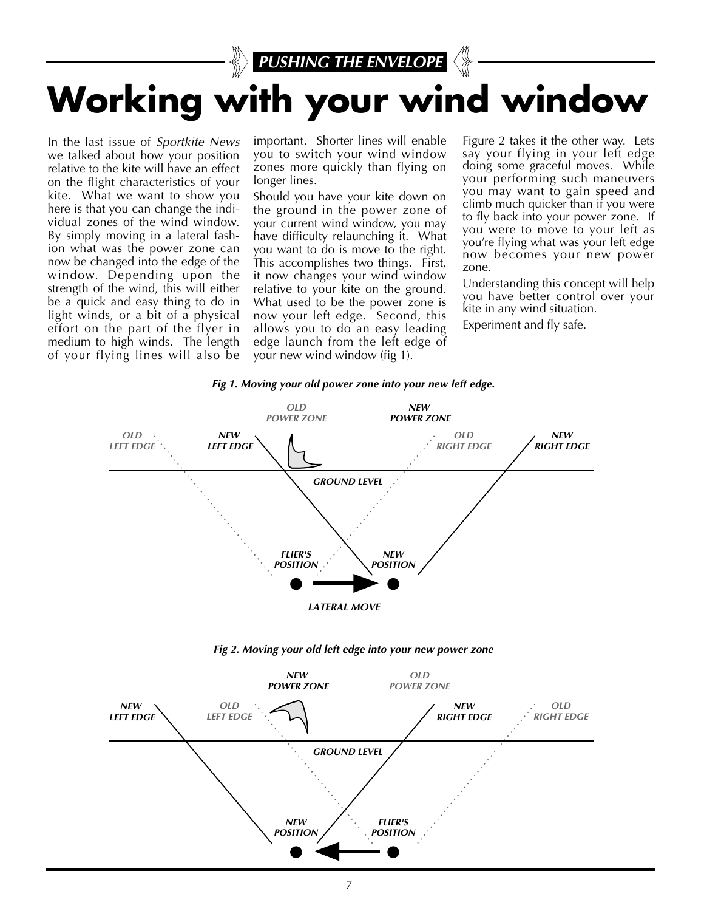

In the last issue of Sportkite News we talked about how your position relative to the kite will have an effect on the flight characteristics of your kite. What we want to show you here is that you can change the individual zones of the wind window. By simply moving in a lateral fashion what was the power zone can now be changed into the edge of the window. Depending upon the strength of the wind, this will either be a quick and easy thing to do in light winds, or a bit of a physical effort on the part of the flyer in medium to high winds. The length of your flying lines will also be important. Shorter lines will enable you to switch your wind window zones more quickly than flying on longer lines.

Should you have your kite down on the ground in the power zone of your current wind window, you may have difficulty relaunching it. What you want to do is move to the right. This accomplishes two things. First, it now changes your wind window relative to your kite on the ground. What used to be the power zone is now your left edge. Second, this allows you to do an easy leading edge launch from the left edge of your new wind window (fig 1).

Figure 2 takes it the other way. Lets say your flying in your left edge doing some graceful moves. While your performing such maneuvers you may want to gain speed and climb much quicker than if you were to fly back into your power zone. If you were to move to your left as you're flying what was your left edge now becomes your new power zone.

Understanding this concept will help you have better control over your kite in any wind situation.

Experiment and fly safe.